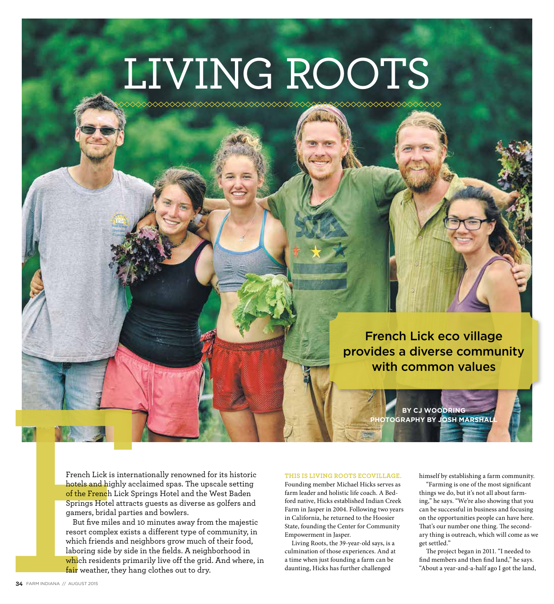# LIVING ROOTS

French Lick eco village provides a diverse community with common values

> **BY CJ WOODRING PHOTOGRAPHY BY JOSH MARSHALL**

French Lick is internationally renowned for its historic hotels and highly acclaimed spas. The upscale setting of the French Lick Springs Hotel and the West Baden Springs Hotel attracts guests as diverse as golfers and gamers, bridal parties and bowlers.

French Lick is internated to the Series of the French Lick Springs Hotel and highly accle of the French Lick Springs Hotel attracts gamers, bridal parties But five miles and 10 resort complex exists a which friends and nei But five miles and 10 minutes away from the majestic resort complex exists a different type of community, in which friends and neighbors grow much of their food, laboring side by side in the fields. A neighborhood in which residents primarily live off the grid. And where, in fair weather, they hang clothes out to dry.

#### **THIS IS LIVING ROOTS ECOVILLAGE.**

Founding member Michael Hicks serves as farm leader and holistic life coach. A Bedford native, Hicks established Indian Creek Farm in Jasper in 2004. Following two years in California, he returned to the Hoosier State, founding the Center for Community Empowerment in Jasper.

Living Roots, the 39-year-old says, is a culmination of those experiences. And at a time when just founding a farm can be daunting, Hicks has further challenged

himself by establishing a farm community.

"Farming is one of the most significant things we do, but it's not all about farming," he says. "We're also showing that you can be successful in business and focusing on the opportunities people can have here. That's our number one thing. The secondary thing is outreach, which will come as we get settled."

The project began in 2011. "I needed to find members and then find land," he says. "About a year-and-a-half ago I got the land,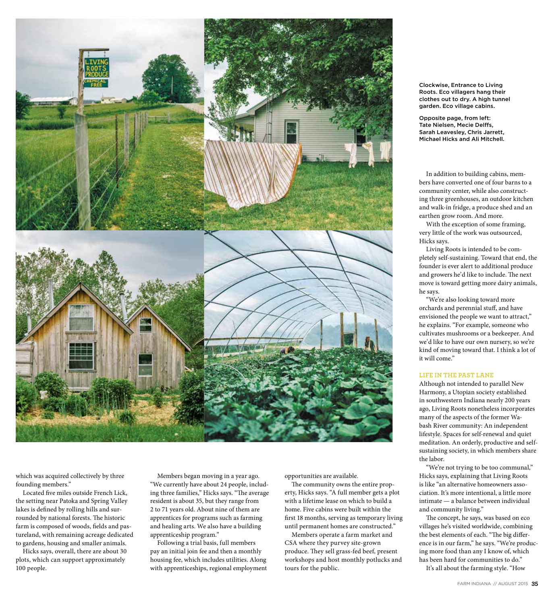

which was acquired collectively by three founding members."

Located five miles outside French Lick, the setting near Patoka and Spring Valley lakes is defined by rolling hills and surrounded by national forests. The historic farm is composed of woods, fields and pastureland, with remaining acreage dedicated to gardens, housing and smaller animals.

Hicks says, overall, there are about 30 plots, which can support approximately 100 people.

Members began moving in a year ago. "We currently have about 24 people, including three families," Hicks says. "The average resident is about 35, but they range from 2 to 71 years old. About nine of them are apprentices for programs such as farming and healing arts. We also have a building apprenticeship program."

Following a trial basis, full members pay an initial join fee and then a monthly housing fee, which includes utilities. Along with apprenticeships, regional employment opportunities are available.

The community owns the entire property, Hicks says. "A full member gets a plot with a lifetime lease on which to build a home. Five cabins were built within the first 18 months, serving as temporary living until permanent homes are constructed."

Members operate a farm market and CSA where they purvey site-grown produce. They sell grass-fed beef, present workshops and host monthly potlucks and tours for the public.

Clockwise, Entrance to Living Roots. Eco villagers hang their clothes out to dry. A high tunnel garden. Eco village cabins.

Opposite page, from left: Tate Nielsen, Mecie Delffs, Sarah Leavesley, Chris Jarrett, Michael Hicks and Ali Mitchell.

In addition to building cabins, members have converted one of four barns to a community center, while also constructing three greenhouses, an outdoor kitchen and walk-in fridge, a produce shed and an earthen grow room. And more.

With the exception of some framing, very little of the work was outsourced, Hicks says.

Living Roots is intended to be completely self-sustaining. Toward that end, the founder is ever alert to additional produce and growers he'd like to include. The next move is toward getting more dairy animals, he says.

"We're also looking toward more orchards and perennial stuff, and have envisioned the people we want to attract," he explains. "For example, someone who cultivates mushrooms or a beekeeper. And we'd like to have our own nursery, so we're kind of moving toward that. I think a lot of it will come."

### **LIFE IN THE PAST LANE**

Although not intended to parallel New Harmony, a Utopian society established in southwestern Indiana nearly 200 years ago, Living Roots nonetheless incorporates many of the aspects of the former Wabash River community: An independent lifestyle. Spaces for self-renewal and quiet meditation. An orderly, productive and selfsustaining society, in which members share the labor.

"We're not trying to be too communal," Hicks says, explaining that Living Roots is like "an alternative homeowners association. It's more intentional, a little more intimate — a balance between individual and community living."

The concept, he says, was based on eco villages he's visited worldwide, combining the best elements of each. "The big difference is in our farm," he says. "We're producing more food than any I know of, which has been hard for communities to do."

It's all about the farming style. "How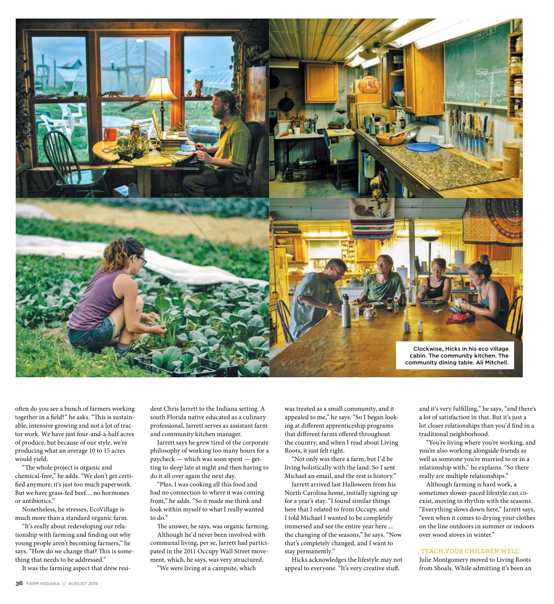

often do you see a bunch of farmers working together in a field?" he asks. "This is sustainable, intensive growing and not a lot of tractor work. We have just four-and-a-half acres of produce, but because of our style, we're producing what an average 10 to 15 acres would yield.

"The whole project is organic and chemical-free," he adds. "We don't get certified anymore; it's just too much paperwork. But we have grass-fed beef ... no hormones or antibiotics."

Nonetheless, he stresses, EcoVillage is much more than a standard organic farm.

"It's really about redeveloping our relationship with farming and finding out why young people aren't becoming farmers," he says. "How do we change that? This is something that needs to be addressed."

It was the farming aspect that drew resi-

dent Chris Jarrett to the Indiana setting. A south Florida native educated as a culinary professional, Jarrett serves as assistant farm and community kitchen manager.

Jarrett says he grew tired of the corporate philosophy of working too many hours for a paycheck — which was soon spent — getting to sleep late at night and then having to do it all over again the next day.

"Plus, I was cooking all this food and had no connection to where it was coming from," he adds. "So it made me think and look within myself to what I really wanted to do."

The answer, he says, was organic farming. Although he'd never been involved with communal living, per se, Jarrett had participated in the 2011 Occupy Wall Street movement, which, he says, was very structured.

"We were living at a campsite, which

was treated as a small community, and it appealed to me," he says. "So I began looking at different apprenticeship programs that different farms offered throughout the country, and when I read about Living Roots, it just felt right.

"Not only was there a farm, but I'd be living holistically with the land. So I sent Michael an email, and the rest is history."

Jarrett arrived last Halloween from his North Carolina home, initially signing up for a year's stay. "I found similar things here that I related to from Occupy, and I told Michael I wanted to be completely immersed and see the entire year here ... the changing of the seasons," he says. "Now that's completely changed, and I want to stay permanently."

Hicks acknowledges the lifestyle may not appeal to everyone. "It's very creative stuff,

and it's very fulfilling," he says, "and there's a lot of satisfaction in that. But it's just a lot closer relationships than you'd find in a traditional neighborhood.

"You're living where you're working, and you're also working alongside friends as well as someone you're married to or in a relationship with," he explains. "So there really are multiple relationships."

Although farming is hard work, a sometimes slower-paced lifestyle can coexist, moving in rhythm with the seasons. "Everything slows down here," Jarrett says, "even when it comes to drying your clothes on the line outdoors in summer or indoors over wood stoves in winter."

#### **'TEACH YOUR CHILDREN WELL'**

Julie Montgomery moved to Living Roots from Shoals. While admitting it's been an